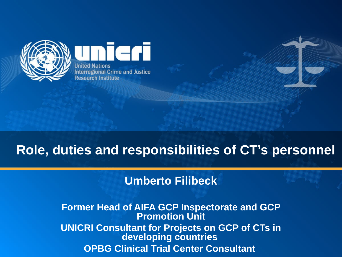

**United Nations Interregional Crime and Justice Research Institute** 

ern

# **Role, duties and responsibilities of CT's personnel**

#### **Umberto Filibeck**

**Former Head of AIFA GCP Inspectorate and GCP Promotion Unit UNICRI Consultant for Projects on GCP of CTs in developing countries OPBG Clinical Trial Center Consultant**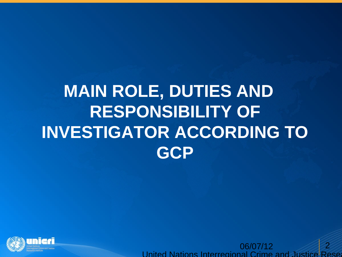# **MAIN ROLE, DUTIES AND RESPONSIBILITY OF INVESTIGATOR ACCORDING TO GCP**



06/07/12 United Nations Interregional Crime and Justice Research 2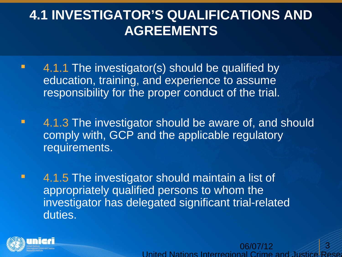# **4.1 INVESTIGATOR'S QUALIFICATIONS AND AGREEMENTS**

- **4.1.1 The investigator(s) should be qualified by** education, training, and experience to assume responsibility for the proper conduct of the trial.
- **4.1.3 The investigator should be aware of, and should** comply with, GCP and the applicable regulatory requirements.
- **4.1.5 The investigator should maintain a list of** appropriately qualified persons to whom the investigator has delegated significant trial-related duties.



06/07/12 United Nations Interregional Crime and Justic 3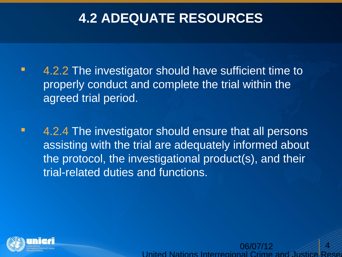# **4.2 ADEQUATE RESOURCES**

- **4.2.2 The investigator should have sufficient time to** properly conduct and complete the trial within the agreed trial period.
- **4.2.4 The investigator should ensure that all persons** assisting with the trial are adequately informed about the protocol, the investigational product(s), and their trial-related duties and functions.



06/07/12 United Nations Interregional Crime and Justice 4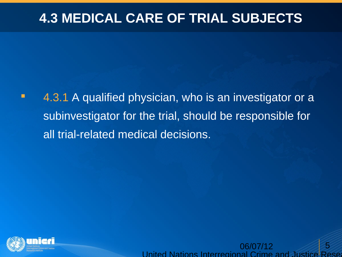### **4.3 MEDICAL CARE OF TRIAL SUBJECTS**

**4.3.1 A qualified physician, who is an investigator or a** subinvestigator for the trial, should be responsible for all trial-related medical decisions.



06/07/12 United Nations Interregional Crime and Justice 5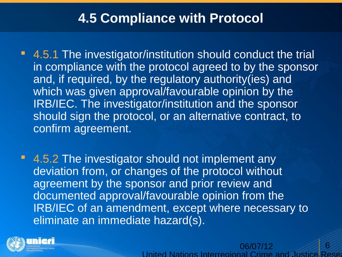#### **4.5 Compliance with Protocol**

- 4.5.1 The investigator/institution should conduct the trial in compliance with the protocol agreed to by the sponsor and, if required, by the regulatory authority(ies) and which was given approval/favourable opinion by the IRB/IEC. The investigator/institution and the sponsor should sign the protocol, or an alternative contract, to confirm agreement.
- 4.5.2 The investigator should not implement any deviation from, or changes of the protocol without agreement by the sponsor and prior review and documented approval/favourable opinion from the IRB/IEC of an amendment, except where necessary to eliminate an immediate hazard(s).



06/07/12 United Nations Interregional Crime and 6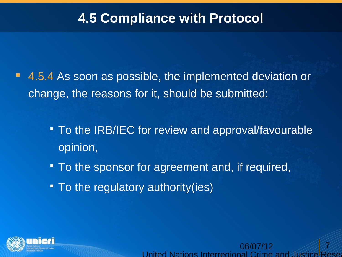### **4.5 Compliance with Protocol**

- 4.5.4 As soon as possible, the implemented deviation or change, the reasons for it, should be submitted:
	- To the IRB/IEC for review and approval/favourable opinion,

United Nations Interregional Crime

06/07/12

7

- To the sponsor for agreement and, if required,
- To the regulatory authority (ies)

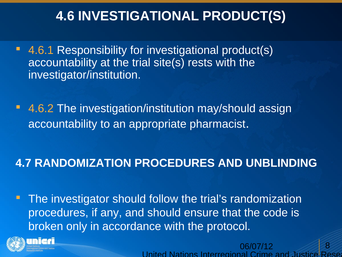# **4.6 INVESTIGATIONAL PRODUCT(S)**

- 4.6.1 Responsibility for investigational product(s) accountability at the trial site(s) rests with the investigator/institution.
- 4.6.2 The investigation/institution may/should assign accountability to an appropriate pharmacist.

#### **4.7 RANDOMIZATION PROCEDURES AND UNBLINDING**

**The investigator should follow the trial's randomization** procedures, if any, and should ensure that the code is broken only in accordance with the protocol.



06/07/12 United Nations Interregional Crime and Justic 8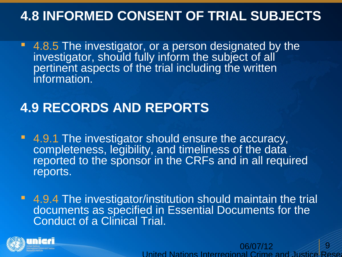### **4.8 INFORMED CONSENT OF TRIAL SUBJECTS**

**4.8.5 The investigator, or a person designated by the** investigator, should fully inform the subject of all pertinent aspects of the trial including the written information.

#### **4.9 RECORDS AND REPORTS**

- 4.9.1 The investigator should ensure the accuracy, completeness, legibility, and timeliness of the data reported to the sponsor in the CRFs and in all required reports.
- **4.9.4 The investigator/institution should maintain the trial** documents as specified in Essential Documents for the Conduct of a Clinical Trial.



06/07/12 United Nations Interregional Crime and Justice Res 9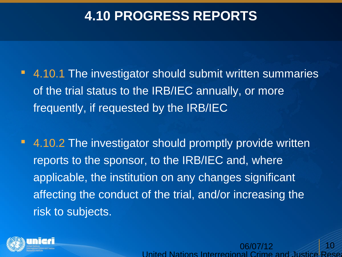### **4.10 PROGRESS REPORTS**

- 4.10.1 The investigator should submit written summaries of the trial status to the IRB/IEC annually, or more frequently, if requested by the IRB/IEC
- 4.10.2 The investigator should promptly provide written reports to the sponsor, to the IRB/IEC and, where applicable, the institution on any changes significant affecting the conduct of the trial, and/or increasing the risk to subjects.



06/07/12 United Nations Interregional Crime 10